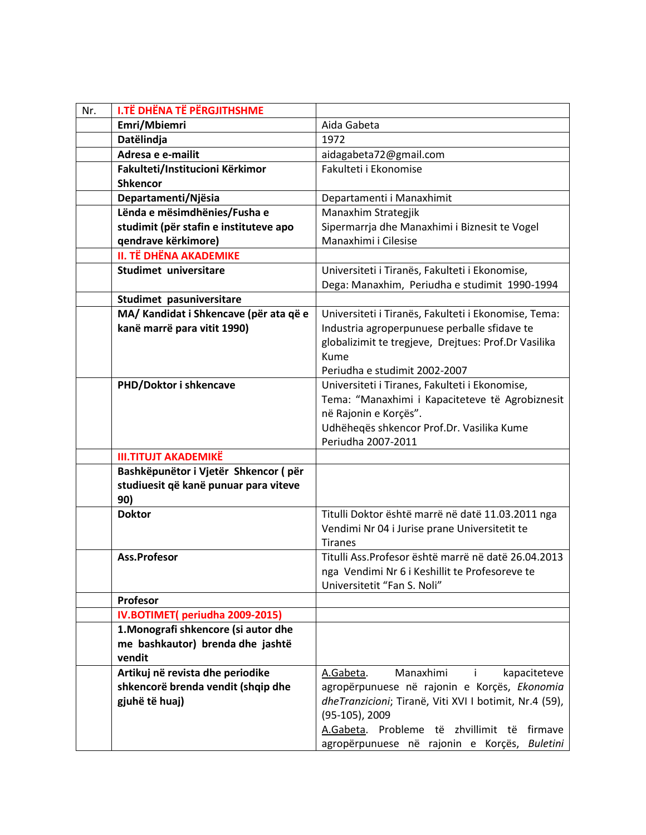| Nr. | <b>I.TË DHËNA TË PËRGJITHSHME</b>                                             |                                                        |
|-----|-------------------------------------------------------------------------------|--------------------------------------------------------|
|     | Emri/Mbiemri                                                                  | Aida Gabeta                                            |
|     | Datëlindja                                                                    | 1972                                                   |
|     | Adresa e e-mailit                                                             | aidagabeta72@gmail.com                                 |
|     | Fakulteti/Institucioni Kërkimor                                               | Fakulteti i Ekonomise                                  |
|     | <b>Shkencor</b>                                                               |                                                        |
|     | Departamenti/Njësia                                                           | Departamenti i Manaxhimit                              |
|     | Lënda e mësimdhënies/Fusha e                                                  | Manaxhim Strategjik                                    |
|     | studimit (për stafin e instituteve apo                                        | Sipermarrja dhe Manaxhimi i Biznesit te Vogel          |
|     | qendrave kërkimore)                                                           | Manaxhimi i Cilesise                                   |
|     | <b>II. TË DHËNA AKADEMIKE</b>                                                 |                                                        |
|     | Studimet universitare                                                         | Universiteti i Tiranës, Fakulteti i Ekonomise,         |
|     |                                                                               | Dega: Manaxhim, Periudha e studimit 1990-1994          |
|     | Studimet pasuniversitare                                                      |                                                        |
|     | MA/ Kandidat i Shkencave (për ata që e                                        | Universiteti i Tiranës, Fakulteti i Ekonomise, Tema:   |
|     | kanë marrë para vitit 1990)                                                   | Industria agroperpunuese perballe sfidave te           |
|     |                                                                               | globalizimit te tregjeve, Drejtues: Prof.Dr Vasilika   |
|     |                                                                               | Kume                                                   |
|     |                                                                               | Periudha e studimit 2002-2007                          |
|     | PHD/Doktor i shkencave                                                        | Universiteti i Tiranes, Fakulteti i Ekonomise,         |
|     |                                                                               | Tema: "Manaxhimi i Kapaciteteve të Agrobiznesit        |
|     |                                                                               | në Rajonin e Korçës".                                  |
|     |                                                                               | Udhëheqës shkencor Prof.Dr. Vasilika Kume              |
|     |                                                                               | Periudha 2007-2011                                     |
|     | <b>III.TITUJT AKADEMIKË</b>                                                   |                                                        |
|     | Bashkëpunëtor i Vjetër Shkencor (për<br>studiuesit që kanë punuar para viteve |                                                        |
|     | 90)                                                                           |                                                        |
|     | <b>Doktor</b>                                                                 | Titulli Doktor është marrë në datë 11.03.2011 nga      |
|     |                                                                               | Vendimi Nr 04 i Jurise prane Universitetit te          |
|     |                                                                               | <b>Tiranes</b>                                         |
|     | Ass.Profesor                                                                  | Titulli Ass. Profesor është marrë në datë 26.04.2013   |
|     |                                                                               | nga Vendimi Nr 6 i Keshillit te Profesoreve te         |
|     |                                                                               | Universitetit "Fan S. Noli"                            |
|     | Profesor                                                                      |                                                        |
|     | IV.BOTIMET(periudha 2009-2015)                                                |                                                        |
|     | 1. Monografi shkencore (si autor dhe                                          |                                                        |
|     | me bashkautor) brenda dhe jashtë                                              |                                                        |
|     | vendit                                                                        |                                                        |
|     | Artikuj në revista dhe periodike                                              | Manaxhimi<br>A.Gabeta.<br>kapaciteteve<br>$\mathbf{I}$ |
|     | shkencorë brenda vendit (shqip dhe                                            | agropërpunuese në rajonin e Korçës, Ekonomia           |
|     | gjuhë të huaj)                                                                | dheTranzicioni; Tiranë, Viti XVI I botimit, Nr.4 (59), |
|     |                                                                               | $(95-105)$ , 2009                                      |
|     |                                                                               | A.Gabeta. Probleme të zhvillimit të<br>firmave         |
|     |                                                                               | agropërpunuese në rajonin e Korçës, Buletini           |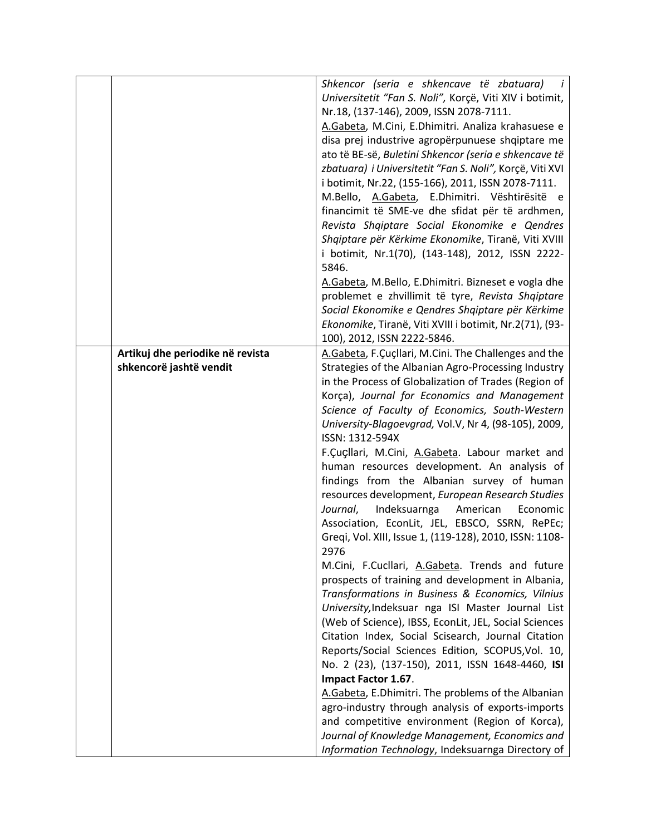|                                  | Shkencor (seria e shkencave të zbatuara)                 |
|----------------------------------|----------------------------------------------------------|
|                                  | Universitetit "Fan S. Noli", Korçë, Viti XIV i botimit,  |
|                                  |                                                          |
|                                  | Nr.18, (137-146), 2009, ISSN 2078-7111.                  |
|                                  | A.Gabeta, M.Cini, E.Dhimitri. Analiza krahasuese e       |
|                                  | disa prej industrive agropërpunuese shqiptare me         |
|                                  | ato të BE-së, Buletini Shkencor (seria e shkencave të    |
|                                  | zbatuara) i Universitetit "Fan S. Noli", Korçë, Viti XVI |
|                                  | i botimit, Nr.22, (155-166), 2011, ISSN 2078-7111.       |
|                                  | M.Bello, A.Gabeta, E.Dhimitri. Vështirësitë e            |
|                                  | financimit të SME-ve dhe sfidat për të ardhmen,          |
|                                  | Revista Shqiptare Social Ekonomike e Qendres             |
|                                  | Shqiptare për Kërkime Ekonomike, Tiranë, Viti XVIII      |
|                                  | i botimit, Nr.1(70), (143-148), 2012, ISSN 2222-         |
|                                  | 5846.                                                    |
|                                  | A.Gabeta, M.Bello, E.Dhimitri. Bizneset e vogla dhe      |
|                                  |                                                          |
|                                  | problemet e zhvillimit të tyre, Revista Shqiptare        |
|                                  | Social Ekonomike e Qendres Shqiptare për Kërkime         |
|                                  | Ekonomike, Tiranë, Viti XVIII i botimit, Nr.2(71), (93-  |
|                                  | 100), 2012, ISSN 2222-5846.                              |
| Artikuj dhe periodike në revista | A.Gabeta, F.Çuçllari, M.Cini. The Challenges and the     |
| shkencorë jashtë vendit          | Strategies of the Albanian Agro-Processing Industry      |
|                                  | in the Process of Globalization of Trades (Region of     |
|                                  | Korça), Journal for Economics and Management             |
|                                  | Science of Faculty of Economics, South-Western           |
|                                  | University-Blagoevgrad, Vol.V, Nr 4, (98-105), 2009,     |
|                                  | ISSN: 1312-594X                                          |
|                                  | F.Çuçllari, M.Cini, A.Gabeta. Labour market and          |
|                                  | human resources development. An analysis of              |
|                                  | findings from the Albanian survey of human               |
|                                  | resources development, European Research Studies         |
|                                  | Indeksuarnga<br>Journal,<br>American<br>Economic         |
|                                  | Association, EconLit, JEL, EBSCO, SSRN, RePEc;           |
|                                  | Greqi, Vol. XIII, Issue 1, (119-128), 2010, ISSN: 1108-  |
|                                  | 2976                                                     |
|                                  | M.Cini, F.Cucllari, A.Gabeta. Trends and future          |
|                                  |                                                          |
|                                  | prospects of training and development in Albania,        |
|                                  | Transformations in Business & Economics, Vilnius         |
|                                  | University, Indeksuar nga ISI Master Journal List        |
|                                  | (Web of Science), IBSS, EconLit, JEL, Social Sciences    |
|                                  | Citation Index, Social Scisearch, Journal Citation       |
|                                  | Reports/Social Sciences Edition, SCOPUS, Vol. 10,        |
|                                  | No. 2 (23), (137-150), 2011, ISSN 1648-4460, ISI         |
|                                  | Impact Factor 1.67.                                      |
|                                  | A.Gabeta, E.Dhimitri. The problems of the Albanian       |
|                                  | agro-industry through analysis of exports-imports        |
|                                  | and competitive environment (Region of Korca),           |
|                                  | Journal of Knowledge Management, Economics and           |
|                                  | Information Technology, Indeksuarnga Directory of        |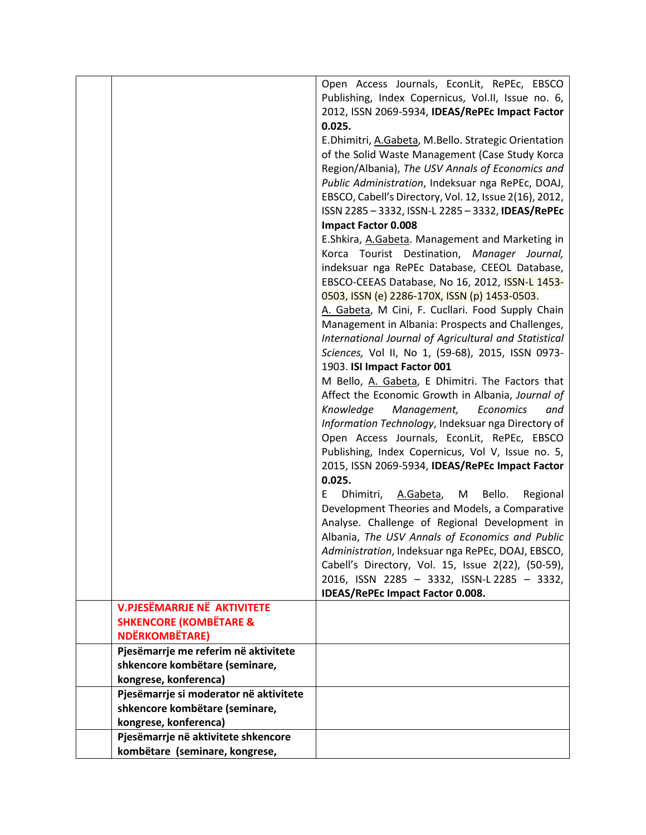|                                        | Open Access Journals, EconLit, RePEc, EBSCO             |
|----------------------------------------|---------------------------------------------------------|
|                                        | Publishing, Index Copernicus, Vol.II, Issue no. 6,      |
|                                        | 2012, ISSN 2069-5934, IDEAS/RePEc Impact Factor         |
|                                        | 0.025.                                                  |
|                                        | E.Dhimitri, A.Gabeta, M.Bello. Strategic Orientation    |
|                                        | of the Solid Waste Management (Case Study Korca         |
|                                        | Region/Albania), The USV Annals of Economics and        |
|                                        | Public Administration, Indeksuar nga RePEc, DOAJ,       |
|                                        | EBSCO, Cabell's Directory, Vol. 12, Issue 2(16), 2012,  |
|                                        | ISSN 2285-3332, ISSN-L 2285-3332, IDEAS/RePEC           |
|                                        | <b>Impact Factor 0.008</b>                              |
|                                        | E.Shkira, A.Gabeta. Management and Marketing in         |
|                                        | Korca Tourist Destination, Manager Journal,             |
|                                        | indeksuar nga RePEc Database, CEEOL Database,           |
|                                        | EBSCO-CEEAS Database, No 16, 2012, ISSN-L 1453-         |
|                                        | 0503, ISSN (e) 2286-170X, ISSN (p) 1453-0503.           |
|                                        | A. Gabeta, M Cini, F. Cucllari. Food Supply Chain       |
|                                        | Management in Albania: Prospects and Challenges,        |
|                                        | International Journal of Agricultural and Statistical   |
|                                        |                                                         |
|                                        | Sciences, Vol II, No 1, (59-68), 2015, ISSN 0973-       |
|                                        | 1903. ISI Impact Factor 001                             |
|                                        | M Bello, A. Gabeta, E Dhimitri. The Factors that        |
|                                        | Affect the Economic Growth in Albania, Journal of       |
|                                        | Knowledge<br>Management, Economics<br>and               |
|                                        | Information Technology, Indeksuar nga Directory of      |
|                                        | Open Access Journals, EconLit, RePEc, EBSCO             |
|                                        | Publishing, Index Copernicus, Vol V, Issue no. 5,       |
|                                        | 2015, ISSN 2069-5934, IDEAS/RePEc Impact Factor         |
|                                        | 0.025.                                                  |
|                                        | Bello.<br>Dhimitri,<br>F.<br>A.Gabeta,<br>M<br>Regional |
|                                        | Development Theories and Models, a Comparative          |
|                                        | Analyse. Challenge of Regional Development in           |
|                                        | Albania, The USV Annals of Economics and Public         |
|                                        | Administration, Indeksuar nga RePEc, DOAJ, EBSCO,       |
|                                        | Cabell's Directory, Vol. 15, Issue 2(22), (50-59),      |
|                                        | 2016, ISSN 2285 - 3332, ISSN-L 2285 - 3332,             |
|                                        | IDEAS/RePEc Impact Factor 0.008.                        |
| <b>V.PJESËMARRJE NË AKTIVITETE</b>     |                                                         |
| <b>SHKENCORE (KOMBËTARE &amp;</b>      |                                                         |
| <b>NDËRKOMBËTARE)</b>                  |                                                         |
| Pjesëmarrje me referim në aktivitete   |                                                         |
| shkencore kombëtare (seminare,         |                                                         |
| kongrese, konferenca)                  |                                                         |
| Pjesëmarrje si moderator në aktivitete |                                                         |
| shkencore kombëtare (seminare,         |                                                         |
| kongrese, konferenca)                  |                                                         |
| Pjesëmarrje në aktivitete shkencore    |                                                         |
| kombëtare (seminare, kongrese,         |                                                         |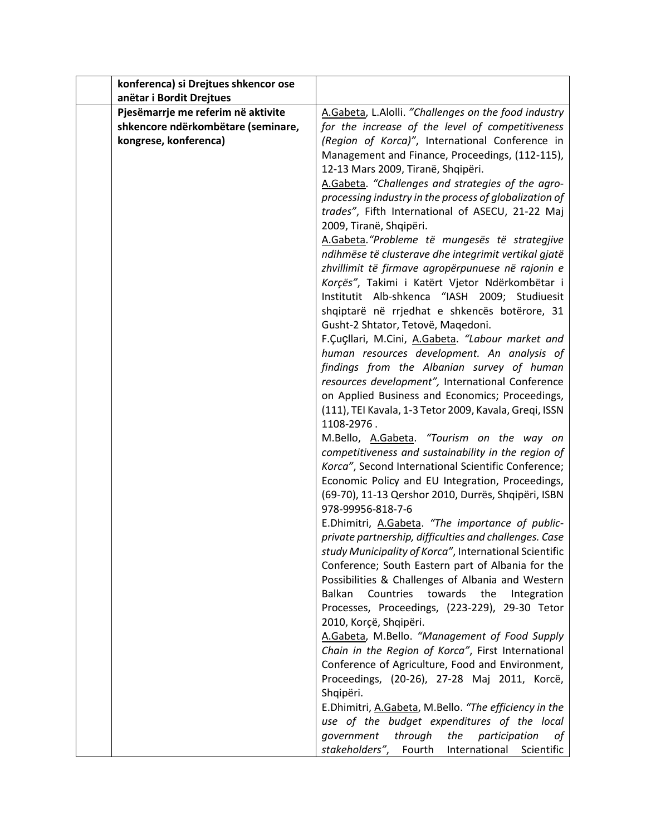| konferenca) si Drejtues shkencor ose |                                                                                                |
|--------------------------------------|------------------------------------------------------------------------------------------------|
| anëtar i Bordit Drejtues             |                                                                                                |
| Pjesëmarrje me referim në aktivite   | A.Gabeta, L.Alolli. "Challenges on the food industry                                           |
| shkencore ndërkombëtare (seminare,   | for the increase of the level of competitiveness                                               |
| kongrese, konferenca)                | (Region of Korca)", International Conference in                                                |
|                                      | Management and Finance, Proceedings, (112-115),                                                |
|                                      | 12-13 Mars 2009, Tiranë, Shqipëri.                                                             |
|                                      | A.Gabeta. "Challenges and strategies of the agro-                                              |
|                                      | processing industry in the process of globalization of                                         |
|                                      | trades", Fifth International of ASECU, 21-22 Maj                                               |
|                                      | 2009, Tiranë, Shqipëri.                                                                        |
|                                      | A.Gabeta. "Probleme të mungesës të strategjive                                                 |
|                                      | ndihmëse të clusterave dhe integrimit vertikal gjatë                                           |
|                                      | zhvillimit të firmave agropërpunuese në rajonin e                                              |
|                                      | Korçës", Takimi i Katërt Vjetor Ndërkombëtar i                                                 |
|                                      | Institutit Alb-shkenca "IASH 2009; Studiuesit                                                  |
|                                      | shqiptarë në rrjedhat e shkencës botërore, 31                                                  |
|                                      | Gusht-2 Shtator, Tetovë, Maqedoni.                                                             |
|                                      | F.Çuçllari, M.Cini, A.Gabeta. "Labour market and                                               |
|                                      | human resources development. An analysis of                                                    |
|                                      | findings from the Albanian survey of human<br>resources development", International Conference |
|                                      | on Applied Business and Economics; Proceedings,                                                |
|                                      | (111), TEI Kavala, 1-3 Tetor 2009, Kavala, Greqi, ISSN                                         |
|                                      | 1108-2976.                                                                                     |
|                                      | M.Bello, A.Gabeta. "Tourism on the way on                                                      |
|                                      | competitiveness and sustainability in the region of                                            |
|                                      | Korca", Second International Scientific Conference;                                            |
|                                      | Economic Policy and EU Integration, Proceedings,                                               |
|                                      | (69-70), 11-13 Qershor 2010, Durrës, Shqipëri, ISBN                                            |
|                                      | 978-99956-818-7-6                                                                              |
|                                      | E.Dhimitri, A.Gabeta. "The importance of public-                                               |
|                                      | private partnership, difficulties and challenges. Case                                         |
|                                      | study Municipality of Korca", International Scientific                                         |
|                                      | Conference; South Eastern part of Albania for the                                              |
|                                      | Possibilities & Challenges of Albania and Western                                              |
|                                      | towards the<br>Balkan<br>Countries<br>Integration                                              |
|                                      | Processes, Proceedings, (223-229), 29-30 Tetor<br>2010, Korçë, Shqipëri.                       |
|                                      | A.Gabeta, M.Bello. "Management of Food Supply                                                  |
|                                      | Chain in the Region of Korca", First International                                             |
|                                      | Conference of Agriculture, Food and Environment,                                               |
|                                      | Proceedings, (20-26), 27-28 Maj 2011, Korcë,                                                   |
|                                      | Shqipëri.                                                                                      |
|                                      | E.Dhimitri, A.Gabeta, M.Bello. "The efficiency in the                                          |
|                                      | use of the budget expenditures of the local                                                    |
|                                      | government<br>through<br>the<br>participation<br>οf                                            |
|                                      | stakeholders",<br>Fourth<br>International<br>Scientific                                        |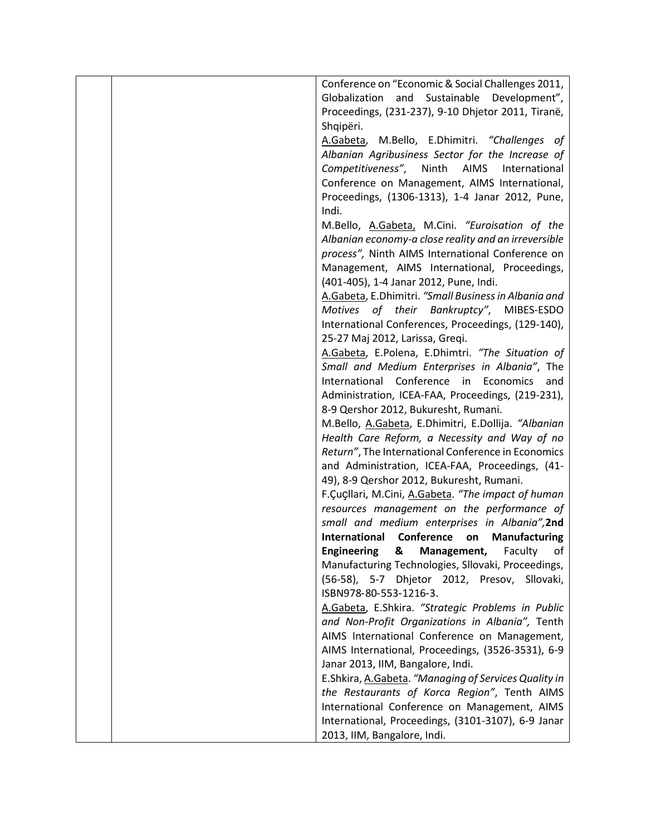|  | Conference on "Economic & Social Challenges 2011,                                                  |
|--|----------------------------------------------------------------------------------------------------|
|  | Globalization and Sustainable Development",                                                        |
|  | Proceedings, (231-237), 9-10 Dhjetor 2011, Tiranë,                                                 |
|  | Shqipëri.                                                                                          |
|  | A.Gabeta, M.Bello, E.Dhimitri. "Challenges of                                                      |
|  | Albanian Agribusiness Sector for the Increase of                                                   |
|  | Competitiveness", Ninth AIMS International                                                         |
|  | Conference on Management, AIMS International,                                                      |
|  | Proceedings, (1306-1313), 1-4 Janar 2012, Pune,                                                    |
|  | Indi.                                                                                              |
|  | M.Bello, A.Gabeta, M.Cini. "Euroisation of the                                                     |
|  | Albanian economy-a close reality and an irreversible                                               |
|  | process", Ninth AIMS International Conference on                                                   |
|  | Management, AIMS International, Proceedings,                                                       |
|  | (401-405), 1-4 Janar 2012, Pune, Indi.                                                             |
|  | A.Gabeta, E.Dhimitri. "Small Business in Albania and                                               |
|  | Motives of their Bankruptcy", MIBES-ESDO                                                           |
|  | International Conferences, Proceedings, (129-140),                                                 |
|  | 25-27 Maj 2012, Larissa, Greqi.                                                                    |
|  | A.Gabeta, E.Polena, E.Dhimtri. "The Situation of                                                   |
|  | Small and Medium Enterprises in Albania", The                                                      |
|  | International Conference in Economics<br>and                                                       |
|  | Administration, ICEA-FAA, Proceedings, (219-231),                                                  |
|  | 8-9 Qershor 2012, Bukuresht, Rumani.                                                               |
|  | M.Bello, A.Gabeta, E.Dhimitri, E.Dollija. "Albanian                                                |
|  | Health Care Reform, a Necessity and Way of no                                                      |
|  | Return", The International Conference in Economics                                                 |
|  | and Administration, ICEA-FAA, Proceedings, (41-                                                    |
|  | 49), 8-9 Qershor 2012, Bukuresht, Rumani.                                                          |
|  | F.Çuçllari, M.Cini, A.Gabeta. "The impact of human                                                 |
|  | resources management on the performance of                                                         |
|  | small and medium enterprises in Albania", 2nd                                                      |
|  | International Conference<br>on Manufacturing                                                       |
|  | <b>Engineering</b><br>Management,<br>&<br>Faculty<br>οf                                            |
|  | Manufacturing Technologies, Sllovaki, Proceedings,<br>(56-58), 5-7 Dhjetor 2012, Presov, Sllovaki, |
|  | ISBN978-80-553-1216-3.                                                                             |
|  | A.Gabeta, E.Shkira. "Strategic Problems in Public                                                  |
|  | and Non-Profit Organizations in Albania", Tenth                                                    |
|  | AIMS International Conference on Management,                                                       |
|  | AIMS International, Proceedings, (3526-3531), 6-9                                                  |
|  | Janar 2013, IIM, Bangalore, Indi.                                                                  |
|  | E.Shkira, A.Gabeta. "Managing of Services Quality in                                               |
|  | the Restaurants of Korca Region", Tenth AIMS                                                       |
|  | International Conference on Management, AIMS                                                       |
|  | International, Proceedings, (3101-3107), 6-9 Janar                                                 |
|  | 2013, IIM, Bangalore, Indi.                                                                        |
|  |                                                                                                    |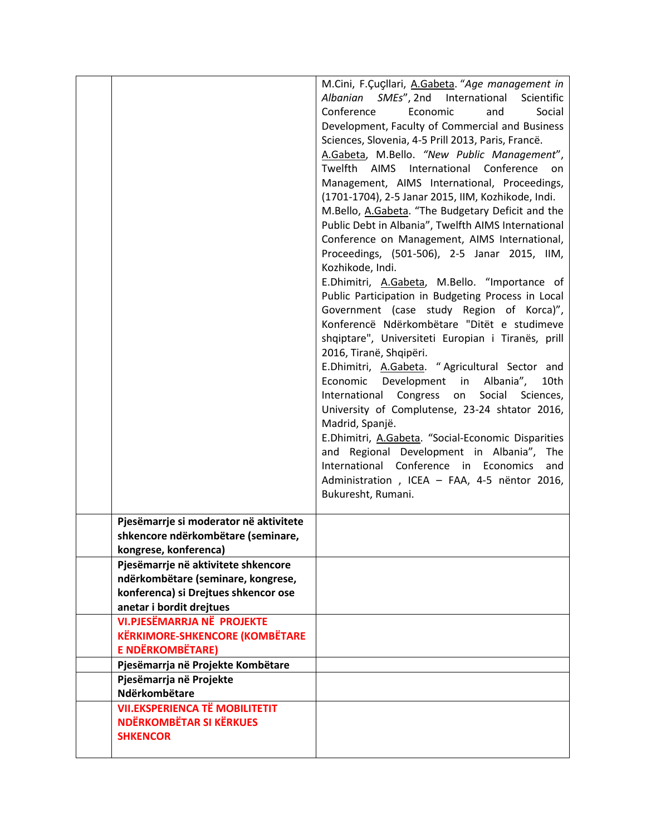|                                        | M.Cini, F.Çuçllari, A.Gabeta. "Age management in                      |
|----------------------------------------|-----------------------------------------------------------------------|
|                                        | Albanian SMEs", 2nd International<br>Scientific                       |
|                                        | Conference<br>Economic<br>Social<br>and                               |
|                                        | Development, Faculty of Commercial and Business                       |
|                                        | Sciences, Slovenia, 4-5 Prill 2013, Paris, Francë.                    |
|                                        | A.Gabeta, M.Bello. "New Public Management",                           |
|                                        | Twelfth AIMS International Conference<br>on                           |
|                                        | Management, AIMS International, Proceedings,                          |
|                                        | (1701-1704), 2-5 Janar 2015, IIM, Kozhikode, Indi.                    |
|                                        | M.Bello, A.Gabeta. "The Budgetary Deficit and the                     |
|                                        | Public Debt in Albania", Twelfth AIMS International                   |
|                                        | Conference on Management, AIMS International,                         |
|                                        | Proceedings, (501-506), 2-5 Janar 2015, IIM,                          |
|                                        | Kozhikode, Indi.                                                      |
|                                        | E.Dhimitri, A.Gabeta, M.Bello. "Importance of                         |
|                                        | Public Participation in Budgeting Process in Local                    |
|                                        | Government (case study Region of Korca)",                             |
|                                        | Konferencë Ndërkombëtare "Ditët e studimeve                           |
|                                        | shqiptare", Universiteti Europian i Tiranës, prill                    |
|                                        | 2016, Tiranë, Shqipëri.                                               |
|                                        | E.Dhimitri, A.Gabeta. "Agricultural Sector and                        |
|                                        | Economic Development in Albania",<br>10th                             |
|                                        | International Congress on<br>Social Sciences,                         |
|                                        | University of Complutense, 23-24 shtator 2016,                        |
|                                        |                                                                       |
|                                        | Madrid, Spanjë.<br>E.Dhimitri, A.Gabeta. "Social-Economic Disparities |
|                                        | and Regional Development in Albania", The                             |
|                                        | International Conference in Economics                                 |
|                                        | and                                                                   |
|                                        | Administration, ICEA - FAA, 4-5 nëntor 2016,<br>Bukuresht, Rumani.    |
|                                        |                                                                       |
| Pjesëmarrje si moderator në aktivitete |                                                                       |
| shkencore ndërkombëtare (seminare,     |                                                                       |
| kongrese, konferenca)                  |                                                                       |
| Pjesëmarrje në aktivitete shkencore    |                                                                       |
| ndërkombëtare (seminare, kongrese,     |                                                                       |
| konferenca) si Drejtues shkencor ose   |                                                                       |
| anetar i bordit drejtues               |                                                                       |
| <b>VI.PJESËMARRJA NË PROJEKTE</b>      |                                                                       |
| <b>KËRKIMORE-SHKENCORE (KOMBËTARE</b>  |                                                                       |
| <b>E NDËRKOMBËTARE)</b>                |                                                                       |
| Pjesëmarrja në Projekte Kombëtare      |                                                                       |
| Pjesëmarrja në Projekte                |                                                                       |
| Ndërkombëtare                          |                                                                       |
| <b>VII.EKSPERIENCA TË MOBILITETIT</b>  |                                                                       |
| <b>NDËRKOMBËTAR SI KËRKUES</b>         |                                                                       |
| <b>SHKENCOR</b>                        |                                                                       |
|                                        |                                                                       |